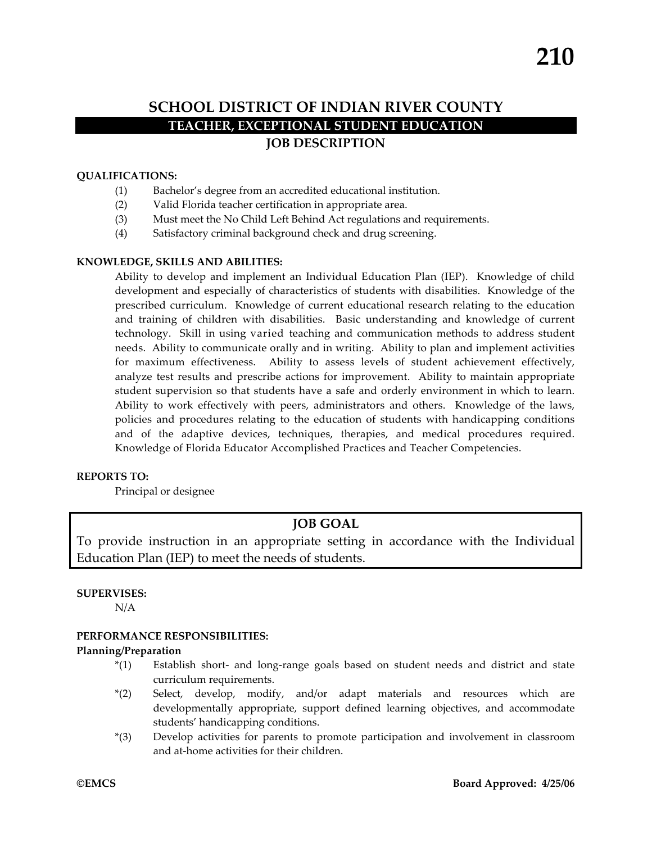# **SCHOOL DISTRICT OF INDIAN RIVER COUNTY TEACHER, EXCEPTIONAL STUDENT EDUCATION JOB DESCRIPTION**

### **QUALIFICATIONS:**

- (1) Bachelor's degree from an accredited educational institution.
- (2) Valid Florida teacher certification in appropriate area.
- (3) Must meet the No Child Left Behind Act regulations and requirements.
- (4) Satisfactory criminal background check and drug screening.

### **KNOWLEDGE, SKILLS AND ABILITIES:**

Ability to develop and implement an Individual Education Plan (IEP). Knowledge of child development and especially of characteristics of students with disabilities. Knowledge of the prescribed curriculum. Knowledge of current educational research relating to the education and training of children with disabilities. Basic understanding and knowledge of current technology. Skill in using varied teaching and communication methods to address student needs. Ability to communicate orally and in writing. Ability to plan and implement activities for maximum effectiveness. Ability to assess levels of student achievement effectively, analyze test results and prescribe actions for improvement. Ability to maintain appropriate student supervision so that students have a safe and orderly environment in which to learn. Ability to work effectively with peers, administrators and others. Knowledge of the laws, policies and procedures relating to the education of students with handicapping conditions and of the adaptive devices, techniques, therapies, and medical procedures required. Knowledge of Florida Educator Accomplished Practices and Teacher Competencies.

### **REPORTS TO:**

Principal or designee

# **JOB GOAL**

To provide instruction in an appropriate setting in accordance with the Individual Education Plan (IEP) to meet the needs of students.

### **SUPERVISES:**

N/A

### **PERFORMANCE RESPONSIBILITIES:**

### **Planning/Preparation**

- \*(1) Establish short‐ and long‐range goals based on student needs and district and state curriculum requirements.
- \*(2) Select, develop, modify, and/or adapt materials and resources which are developmentally appropriate, support defined learning objectives, and accommodate students' handicapping conditions.
- \*(3) Develop activities for parents to promote participation and involvement in classroom and at‐home activities for their children.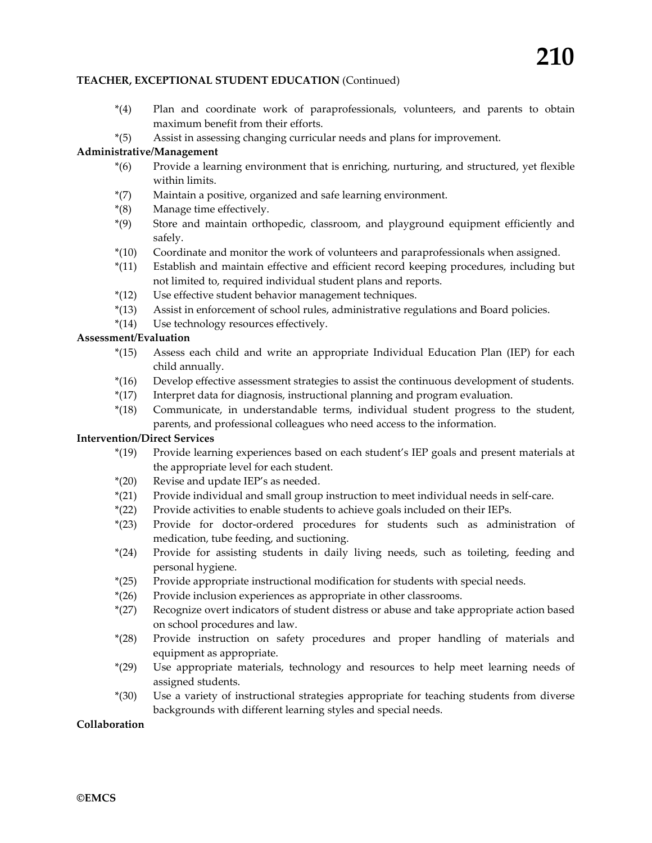### **TEACHER, EXCEPTIONAL STUDENT EDUCATION** (Continued)

- \*(4) Plan and coordinate work of paraprofessionals, volunteers, and parents to obtain maximum benefit from their efforts.
- \*(5) Assist in assessing changing curricular needs and plans for improvement.

## **Administrative/Management**

- \*(6) Provide a learning environment that is enriching, nurturing, and structured, yet flexible within limits.
- \*(7) Maintain a positive, organized and safe learning environment.
- \*(8) Manage time effectively.
- \*(9) Store and maintain orthopedic, classroom, and playground equipment efficiently and safely.
- \*(10) Coordinate and monitor the work of volunteers and paraprofessionals when assigned.
- \*(11) Establish and maintain effective and efficient record keeping procedures, including but not limited to, required individual student plans and reports.
- \*(12) Use effective student behavior management techniques.
- \*(13) Assist in enforcement of school rules, administrative regulations and Board policies.
- \*(14) Use technology resources effectively.

### **Assessment/Evaluation**

- \*(15) Assess each child and write an appropriate Individual Education Plan (IEP) for each child annually.
- \*(16) Develop effective assessment strategies to assist the continuous development of students.
- \*(17) Interpret data for diagnosis, instructional planning and program evaluation.
- \*(18) Communicate, in understandable terms, individual student progress to the student, parents, and professional colleagues who need access to the information.

### **Intervention/Direct Services**

- \*(19) Provide learning experiences based on each student's IEP goals and present materials at the appropriate level for each student.
- \*(20) Revise and update IEP's as needed.
- \*(21) Provide individual and small group instruction to meet individual needs in self‐care.
- \*(22) Provide activities to enable students to achieve goals included on their IEPs.
- \*(23) Provide for doctor‐ordered procedures for students such as administration of medication, tube feeding, and suctioning.
- \*(24) Provide for assisting students in daily living needs, such as toileting, feeding and personal hygiene.
- \*(25) Provide appropriate instructional modification for students with special needs.
- \*(26) Provide inclusion experiences as appropriate in other classrooms.
- \*(27) Recognize overt indicators of student distress or abuse and take appropriate action based on school procedures and law.
- \*(28) Provide instruction on safety procedures and proper handling of materials and equipment as appropriate.
- \*(29) Use appropriate materials, technology and resources to help meet learning needs of assigned students.
- \*(30) Use a variety of instructional strategies appropriate for teaching students from diverse backgrounds with different learning styles and special needs.

### **Collaboration**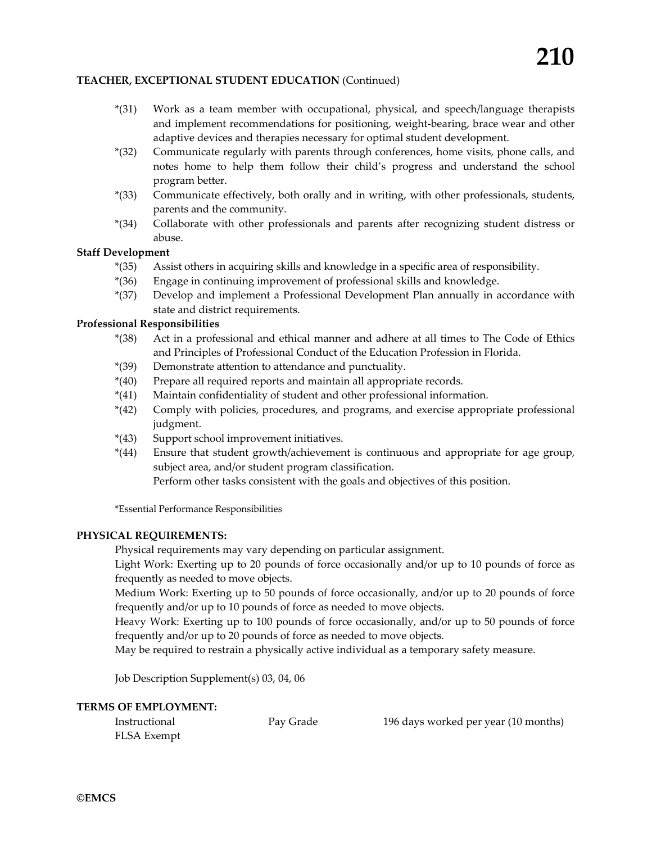### **TEACHER, EXCEPTIONAL STUDENT EDUCATION** (Continued)

- \*(31) Work as a team member with occupational, physical, and speech/language therapists and implement recommendations for positioning, weight-bearing, brace wear and other adaptive devices and therapies necessary for optimal student development.
- \*(32) Communicate regularly with parents through conferences, home visits, phone calls, and notes home to help them follow their child's progress and understand the school program better.
- \*(33) Communicate effectively, both orally and in writing, with other professionals, students, parents and the community.
- \*(34) Collaborate with other professionals and parents after recognizing student distress or abuse.

### **Staff Development**

- \*(35) Assist others in acquiring skills and knowledge in a specific area of responsibility.
- \*(36) Engage in continuing improvement of professional skills and knowledge.
- \*(37) Develop and implement a Professional Development Plan annually in accordance with state and district requirements.

### **Professional Responsibilities**

- \*(38) Act in a professional and ethical manner and adhere at all times to The Code of Ethics and Principles of Professional Conduct of the Education Profession in Florida.
- \*(39) Demonstrate attention to attendance and punctuality.
- \*(40) Prepare all required reports and maintain all appropriate records.
- \*(41) Maintain confidentiality of student and other professional information.
- \*(42) Comply with policies, procedures, and programs, and exercise appropriate professional judgment.
- \*(43) Support school improvement initiatives.
- \*(44) Ensure that student growth/achievement is continuous and appropriate for age group, subject area, and/or student program classification. Perform other tasks consistent with the goals and objectives of this position.

\*Essential Performance Responsibilities

### **PHYSICAL REQUIREMENTS:**

Physical requirements may vary depending on particular assignment.

Light Work: Exerting up to 20 pounds of force occasionally and/or up to 10 pounds of force as frequently as needed to move objects.

Medium Work: Exerting up to 50 pounds of force occasionally, and/or up to 20 pounds of force frequently and/or up to 10 pounds of force as needed to move objects.

Heavy Work: Exerting up to 100 pounds of force occasionally, and/or up to 50 pounds of force frequently and/or up to 20 pounds of force as needed to move objects.

May be required to restrain a physically active individual as a temporary safety measure.

Job Description Supplement(s) 03, 04, 06

### **TERMS OF EMPLOYMENT:**

FLSA Exempt

Instructional Pay Grade 196 days worked per year (10 months)